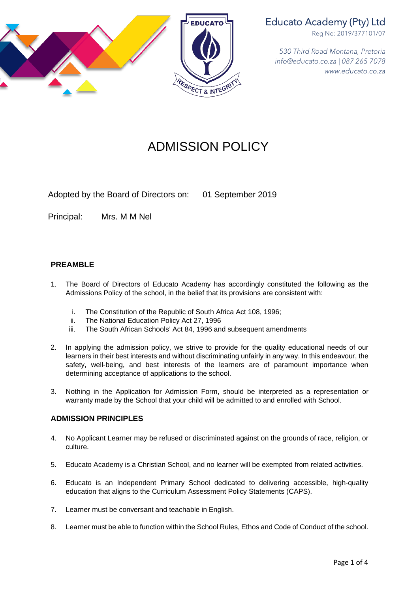

# Educato Academy (Pty) Ltd

Reg No: 2019/377101/07

*530 Third Road Montana, Pretoria info@educato.co.za | 087 265 7078 www.educato.co.za*

# ADMISSION POLICY

Adopted by the Board of Directors on: 01 September 2019

Principal: Mrs. M M Nel

# **PREAMBLE**

- 1. The Board of Directors of Educato Academy has accordingly constituted the following as the Admissions Policy of the school, in the belief that its provisions are consistent with:
	- i. The Constitution of the Republic of South Africa Act 108, 1996;
	- ii. The National Education Policy Act 27, 1996
	- iii. The South African Schools' Act 84, 1996 and subsequent amendments
- 2. In applying the admission policy, we strive to provide for the quality educational needs of our learners in their best interests and without discriminating unfairly in any way. In this endeavour, the safety, well-being, and best interests of the learners are of paramount importance when determining acceptance of applications to the school.
- 3. Nothing in the Application for Admission Form, should be interpreted as a representation or warranty made by the School that your child will be admitted to and enrolled with School.

#### **ADMISSION PRINCIPLES**

- 4. No Applicant Learner may be refused or discriminated against on the grounds of race, religion, or culture.
- 5. Educato Academy is a Christian School, and no learner will be exempted from related activities.
- 6. Educato is an Independent Primary School dedicated to delivering accessible, high-quality education that aligns to the Curriculum Assessment Policy Statements (CAPS).
- 7. Learner must be conversant and teachable in English.
- 8. Learner must be able to function within the School Rules, Ethos and Code of Conduct of the school.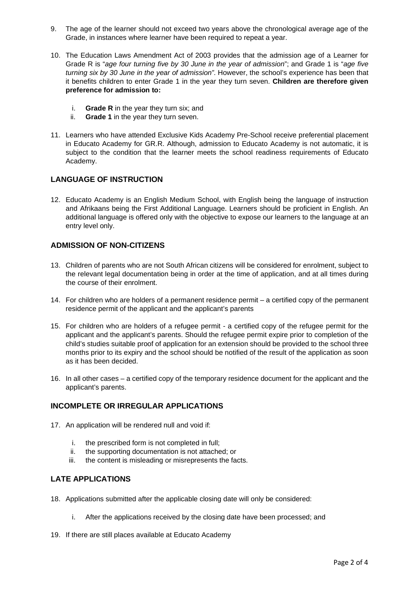- 9. The age of the learner should not exceed two years above the chronological average age of the Grade, in instances where learner have been required to repeat a year.
- 10. The Education Laws Amendment Act of 2003 provides that the admission age of a Learner for Grade R is "*age four turning five by 30 June in the year of admission*"; and Grade 1 is "*age five turning six by 30 June in the year of admission".* However, the school's experience has been that it benefits children to enter Grade 1 in the year they turn seven. **Children are therefore given preference for admission to:**
	- i. **Grade R** in the year they turn six; and
	- ii. **Grade 1** in the year they turn seven.
- 11. Learners who have attended Exclusive Kids Academy Pre-School receive preferential placement in Educato Academy for GR.R. Although, admission to Educato Academy is not automatic, it is subject to the condition that the learner meets the school readiness requirements of Educato Academy.

#### **LANGUAGE OF INSTRUCTION**

12. Educato Academy is an English Medium School, with English being the language of instruction and Afrikaans being the First Additional Language. Learners should be proficient in English. An additional language is offered only with the objective to expose our learners to the language at an entry level only.

#### **ADMISSION OF NON-CITIZENS**

- 13. Children of parents who are not South African citizens will be considered for enrolment, subject to the relevant legal documentation being in order at the time of application, and at all times during the course of their enrolment.
- 14. For children who are holders of a permanent residence permit a certified copy of the permanent residence permit of the applicant and the applicant's parents
- 15. For children who are holders of a refugee permit a certified copy of the refugee permit for the applicant and the applicant's parents. Should the refugee permit expire prior to completion of the child's studies suitable proof of application for an extension should be provided to the school three months prior to its expiry and the school should be notified of the result of the application as soon as it has been decided.
- 16. In all other cases a certified copy of the temporary residence document for the applicant and the applicant's parents.

#### **INCOMPLETE OR IRREGULAR APPLICATIONS**

- 17. An application will be rendered null and void if:
	- i. the prescribed form is not completed in full;
	- ii. the supporting documentation is not attached; or
	- iii. the content is misleading or misrepresents the facts.

## **LATE APPLICATIONS**

- 18. Applications submitted after the applicable closing date will only be considered:
	- i. After the applications received by the closing date have been processed; and
- 19. If there are still places available at Educato Academy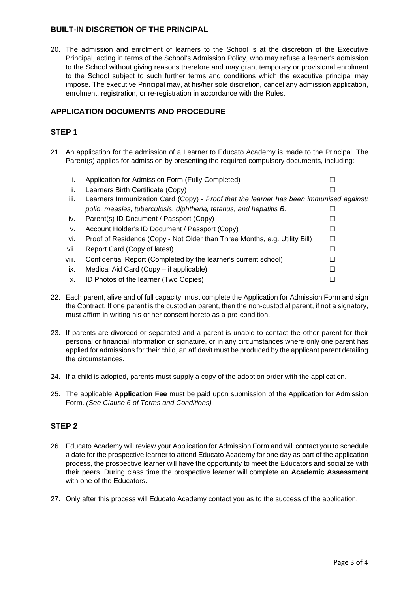# **BUILT-IN DISCRETION OF THE PRINCIPAL**

20. The admission and enrolment of learners to the School is at the discretion of the Executive Principal, acting in terms of the School's Admission Policy, who may refuse a learner's admission to the School without giving reasons therefore and may grant temporary or provisional enrolment to the School subject to such further terms and conditions which the executive principal may impose. The executive Principal may, at his/her sole discretion, cancel any admission application, enrolment, registration, or re-registration in accordance with the Rules.

# **APPLICATION DOCUMENTS AND PROCEDURE**

# **STEP 1**

21. An application for the admission of a Learner to Educato Academy is made to the Principal. The Parent(s) applies for admission by presenting the required compulsory documents, including:

| Τ.    | Application for Admission Form (Fully Completed)                                       |  |
|-------|----------------------------------------------------------------------------------------|--|
| ii.   | Learners Birth Certificate (Copy)                                                      |  |
| iii.  | Learners Immunization Card (Copy) - Proof that the learner has been immunised against: |  |
|       | polio, measles, tuberculosis, diphtheria, tetanus, and hepatitis B.                    |  |
| iv.   | Parent(s) ID Document / Passport (Copy)                                                |  |
| v.    | Account Holder's ID Document / Passport (Copy)                                         |  |
| Vİ.   | Proof of Residence (Copy - Not Older than Three Months, e.g. Utility Bill)             |  |
| vii.  | Report Card (Copy of latest)                                                           |  |
| viii. | Confidential Report (Completed by the learner's current school)                        |  |
| ix.   | Medical Aid Card (Copy – if applicable)                                                |  |
| х.    | ID Photos of the learner (Two Copies)                                                  |  |

- 22. Each parent, alive and of full capacity, must complete the Application for Admission Form and sign the Contract. If one parent is the custodian parent, then the non-custodial parent, if not a signatory, must affirm in writing his or her consent hereto as a pre-condition.
- 23. If parents are divorced or separated and a parent is unable to contact the other parent for their personal or financial information or signature, or in any circumstances where only one parent has applied for admissions for their child, an affidavit must be produced by the applicant parent detailing the circumstances.
- 24. If a child is adopted, parents must supply a copy of the adoption order with the application.
- 25. The applicable **Application Fee** must be paid upon submission of the Application for Admission Form. *(See Clause 6 of Terms and Conditions)*

# **STEP 2**

- 26. Educato Academy will review your Application for Admission Form and will contact you to schedule a date for the prospective learner to attend Educato Academy for one day as part of the application process, the prospective learner will have the opportunity to meet the Educators and socialize with their peers. During class time the prospective learner will complete an **Academic Assessment** with one of the Educators.
- 27. Only after this process will Educato Academy contact you as to the success of the application.